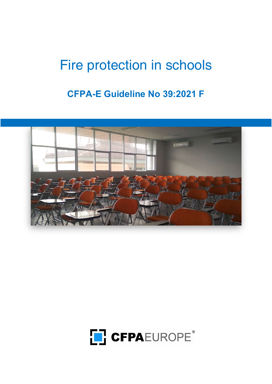# Fire protection in schools

# CFPA-E Guideline No 39:2021 F



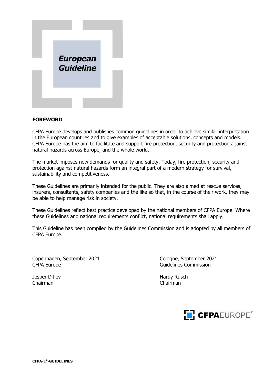

#### FOREWORD

CFPA Europe develops and publishes common guidelines in order to achieve similar interpretation in the European countries and to give examples of acceptable solutions, concepts and models. CFPA Europe has the aim to facilitate and support fire protection, security and protection against natural hazards across Europe, and the whole world.

The market imposes new demands for quality and safety. Today, fire protection, security and protection against natural hazards form an integral part of a modern strategy for survival, sustainability and competitiveness.

These Guidelines are primarily intended for the public. They are also aimed at rescue services, insurers, consultants, safety companies and the like so that, in the course of their work, they may be able to help manage risk in society.

These Guidelines reflect best practice developed by the national members of CFPA Europe. Where these Guidelines and national requirements conflict, national requirements shall apply.

This Guideline has been compiled by the Guidelines Commission and is adopted by all members of CFPA Europe.

Copenhagen, September 2021 Cologne, September 2021 CFPA Europe **Guidelines** Commission

Jesper Ditlev **Hardy Rusch** Hardy Rusch Chairman Chairman

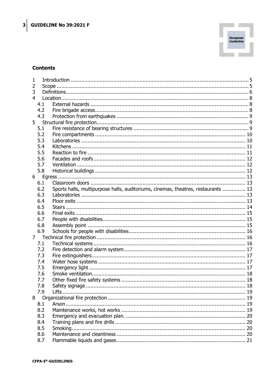

#### **Contents**

| 1              |                |                                                                                   |  |  |
|----------------|----------------|-----------------------------------------------------------------------------------|--|--|
| 2              |                |                                                                                   |  |  |
| 3              |                |                                                                                   |  |  |
| 4              |                |                                                                                   |  |  |
|                | 4.1            |                                                                                   |  |  |
|                | 4.2            |                                                                                   |  |  |
|                | 4.3            |                                                                                   |  |  |
|                | 5 <sub>1</sub> |                                                                                   |  |  |
|                | 5.1            |                                                                                   |  |  |
|                | 5.2            |                                                                                   |  |  |
|                | 5.3            |                                                                                   |  |  |
|                | 5.4            |                                                                                   |  |  |
|                | 5.5            |                                                                                   |  |  |
|                | 5.6            |                                                                                   |  |  |
|                | 5.7            |                                                                                   |  |  |
|                | 5.8            |                                                                                   |  |  |
| 6 <sup>1</sup> |                |                                                                                   |  |  |
|                | 6.1            |                                                                                   |  |  |
|                | 6.2            | Sports halls, multipurpose halls, auditoriums, cinemas, theatres, restaurants  13 |  |  |
|                | 6.3            |                                                                                   |  |  |
|                | 6.4            |                                                                                   |  |  |
|                | 6.5            |                                                                                   |  |  |
|                | 6.6            |                                                                                   |  |  |
|                | 6.7            |                                                                                   |  |  |
|                | 6.8            |                                                                                   |  |  |
|                | 6.9            |                                                                                   |  |  |
| 7 <sup>7</sup> |                |                                                                                   |  |  |
|                | 7.1            |                                                                                   |  |  |
|                | 7.2            |                                                                                   |  |  |
|                | 7.3            |                                                                                   |  |  |
|                | 7.4            |                                                                                   |  |  |
|                | 7.5            |                                                                                   |  |  |
|                | 7.6            |                                                                                   |  |  |
|                | 7.7            |                                                                                   |  |  |
|                | 7.8            |                                                                                   |  |  |
|                | 7.9            |                                                                                   |  |  |
| 8              |                |                                                                                   |  |  |
|                | 8.1            |                                                                                   |  |  |
|                | 8.2            |                                                                                   |  |  |
|                | 8.3            |                                                                                   |  |  |
|                | 8.4            |                                                                                   |  |  |
|                | 8.5            |                                                                                   |  |  |
|                | 8.6            |                                                                                   |  |  |
|                | 8.7            |                                                                                   |  |  |
|                |                |                                                                                   |  |  |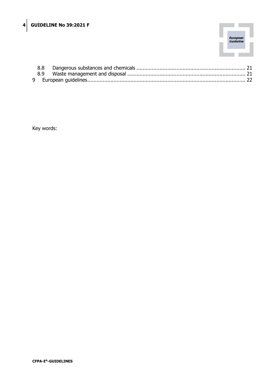

Key words: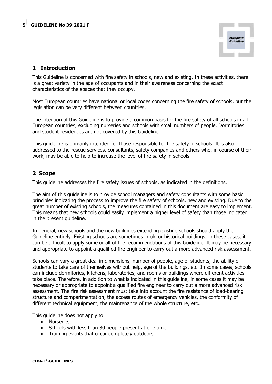

# 1 Introduction

This Guideline is concerned with fire safety in schools, new and existing. In these activities, there is a great variety in the age of occupants and in their awareness concerning the exact characteristics of the spaces that they occupy.

Most European countries have national or local codes concerning the fire safety of schools, but the legislation can be very different between countries.

The intention of this Guideline is to provide a common basis for the fire safety of all schools in all European countries, excluding nurseries and schools with small numbers of people. Dormitories and student residences are not covered by this Guideline.

This guideline is primarily intended for those responsible for fire safety in schools. It is also addressed to the rescue services, consultants, safety companies and others who, in course of their work, may be able to help to increase the level of fire safety in schools.

# 2 Scope

This guideline addresses the fire safety issues of schools, as indicated in the definitions.

The aim of this guideline is to provide school managers and safety consultants with some basic principles indicating the process to improve the fire safety of schools, new and existing. Due to the great number of existing schools, the measures contained in this document are easy to implement. This means that new schools could easily implement a higher level of safety than those indicated in the present guideline.

In general, new schools and the new buildings extending existing schools should apply the Guideline entirely. Existing schools are sometimes in old or historical buildings; in these cases, it can be difficult to apply some or all of the recommendations of this Guideline. It may be necessary and appropriate to appoint a qualified fire engineer to carry out a more advanced risk assessment.

Schools can vary a great deal in dimensions, number of people, age of students, the ability of students to take care of themselves without help, age of the buildings, etc. In some cases, schools can include dormitories, kitchens, laboratories, and rooms or buildings where different activities take place. Therefore, in addition to what is indicated in this guideline, in some cases it may be necessary or appropriate to appoint a qualified fire engineer to carry out a more advanced risk assessment. The fire risk assessment must take into account the fire resistance of load-bearing structure and compartmentation, the access routes of emergency vehicles, the conformity of different technical equipment, the maintenance of the whole structure, etc..

This guideline does not apply to:

- Nurseries;
- Schools with less than 30 people present at one time;
- Training events that occur completely outdoors.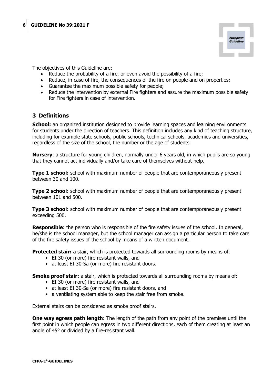

The objectives of this Guideline are:

- Reduce the probability of a fire, or even avoid the possibility of a fire;
- Reduce, in case of fire, the consequences of the fire on people and on properties;
- Guarantee the maximum possible safety for people;
- Reduce the intervention by external Fire fighters and assure the maximum possible safety for Fire fighters in case of intervention.

### 3 Definitions

**School:** an organized institution designed to provide learning spaces and learning environments for students under the direction of teachers. This definition includes any kind of teaching structure, including for example state schools, public schools, technical schools, academies and universities, regardless of the size of the school, the number or the age of students.

Nursery: a structure for young children, normally under 6 years old, in which pupils are so young that they cannot act individually and/or take care of themselves without help.

**Type 1 school:** school with maximum number of people that are contemporaneously present between 30 and 100.

**Type 2 school:** school with maximum number of people that are contemporaneously present between 101 and 500.

**Type 3 school:** school with maximum number of people that are contemporaneously present exceeding 500.

**Responsible:** the person who is responsible of the fire safety issues of the school. In general, he/she is the school manager, but the school manager can assign a particular person to take care of the fire safety issues of the school by means of a written document.

**Protected stair:** a stair, which is protected towards all surrounding rooms by means of:

- EI 30 (or more) fire resistant walls, and
- at least EI 30-Sa (or more) fire resistant doors.

**Smoke proof stair:** a stair, which is protected towards all surrounding rooms by means of:

- EI 30 (or more) fire resistant walls, and
- at least EI 30-Sa (or more) fire resistant doors, and
- a ventilating system able to keep the stair free from smoke.

External stairs can be considered as smoke proof stairs.

**One way egress path length:** The length of the path from any point of the premises until the first point in which people can egress in two different directions, each of them creating at least an angle of 45° or divided by a fire-resistant wall.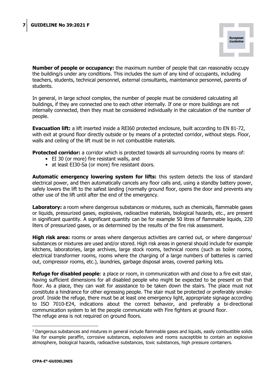

**Number of people or occupancy:** the maximum number of people that can reasonably occupy the building/s under any conditions. This includes the sum of any kind of occupants, including teachers, students, technical personnel, external consultants, maintenance personnel, parents of students.

In general, in large school complex, the number of people must be considered calculating all buildings, if they are connected one to each other internally. If one or more buildings are not internally connected, then they must be considered individually in the calculation of the number of people.

**Evacuation lift:** a lift inserted inside a REI60 protected enclosure, built according to EN 81-72, with exit at ground floor directly outside or by means of a protected corridor, without steps. Floor, walls and ceiling of the lift must be in not combustible materials.

**Protected corridor:** a corridor which is protected towards all surrounding rooms by means of:

- EI 30 (or more) fire resistant walls, and
- at least EI30-Sa (or more) fire resistant doors.

Automatic emergency lowering system for lifts: this system detects the loss of standard electrical power, and then automatically cancels any floor calls and, using a standby battery power, safely lowers the lift to the safest landing (normally ground floor, opens the door and prevents any other use of the lift until after the end of the emergency.

Laboratory: a room where dangerous substances or mixtures, such as chemicals, flammable gases or liquids, pressurized gases, explosives, radioactive materials, biological hazards, etc., are present in significant quantity. A significant quantity can be for example 50 litres of flammable liquids, 220 liters of pressurized gases, or as determined by the results of the fire risk assessment.

**High risk area:** rooms or areas where dangerous activities are carried out, or where dangerous<sup>1</sup> substances or mixtures are used and/or stored. High risk areas in general should include for example kitchens, laboratories, large archives, large stock rooms, technical rooms (such as boiler rooms, electrical transformer rooms, rooms where the charging of a large numbers of batteries is carried out, compressor rooms, etc.), laundries, garbage disposal areas, covered parking lots.

**Refuge for disabled people:** a place or room, in communication with and close to a fire exit stair, having sufficient dimensions for all disabled people who might be expected to be present on that floor. As a place, they can wait for assistance to be taken down the stairs. The place must not constitute a hindrance for other egressing people. The stair must be protected or preferably smokeproof. Inside the refuge, there must be at least one emergency light, appropriate signage according to ISO 7010-E24, indications about the correct behavior, and preferably a bi-directional communication system to let the people communicate with Fire fighters at ground floor. The refuge area is not required on ground floors.

<sup>&</sup>lt;sup>1</sup> Dangerous substances and mixtures in general include flammable gases and liquids, easily combustible solids like for example paraffin, corrosive substances, explosives and rooms susceptible to contain an explosive atmosphere, biological hazards, radioactive substances, toxic substances, high pressure containers.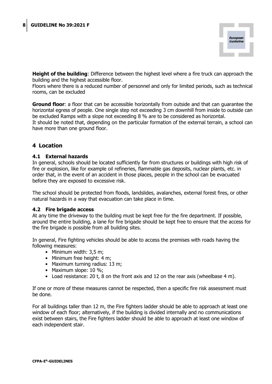

**Height of the building**: Difference between the highest level where a fire truck can approach the building and the highest accessible floor.

Floors where there is a reduced number of personnel and only for limited periods, such as technical rooms, can be excluded

**Ground floor:** a floor that can be accessible horizontally from outside and that can quarantee the horizontal egress of people. One single step not exceeding 3 cm downhill from inside to outside can be excluded Ramps with a slope not exceeding 8 % are to be considered as horizontal.

It should be noted that, depending on the particular formation of the external terrain, a school can have more than one ground floor.

# 4 Location

#### 4.1 External hazards

In general, schools should be located sufficiently far from structures or buildings with high risk of fire or explosion, like for example oil refineries, flammable gas deposits, nuclear plants, etc. in order that, in the event of an accident in those places, people in the school can be evacuated before they are exposed to excessive risk.

The school should be protected from floods, landslides, avalanches, external forest fires, or other natural hazards in a way that evacuation can take place in time.

#### 4.2 Fire brigade access

At any time the driveway to the building must be kept free for the fire department. If possible, around the entire building, a lane for fire brigade should be kept free to ensure that the access for the fire brigade is possible from all building sites.

In general, Fire fighting vehicles should be able to access the premises with roads having the following measures:

- Minimum width: 3,5 m;
- Minimum free height: 4 m;
- Maximum turning radius: 13 m;
- Maximum slope: 10 %;
- Load resistance: 20 t, 8 on the front axis and 12 on the rear axis (wheelbase 4 m).

If one or more of these measures cannot be respected, then a specific fire risk assessment must be done.

For all buildings taller than 12 m, the Fire fighters ladder should be able to approach at least one window of each floor; alternatively, if the building is divided internally and no communications exist between stairs, the Fire fighters ladder should be able to approach at least one window of each independent stair.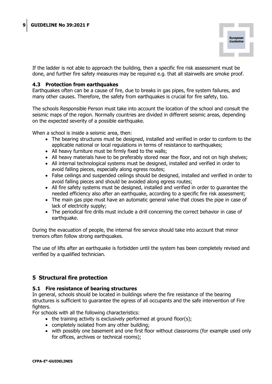

If the ladder is not able to approach the building, then a specific fire risk assessment must be done, and further fire safety measures may be required e.g. that all stairwells are smoke proof.

#### 4.3 Protection from earthquakes

Earthquakes often can be a cause of fire, due to breaks in gas pipes, fire system failures, and many other causes. Therefore, the safety from earthquakes is crucial for fire safety, too.

The schools Responsible Person must take into account the location of the school and consult the seismic maps of the region. Normally countries are divided in different seismic areas, depending on the expected severity of a possible earthquake.

When a school is inside a seismic area, then:

- The bearing structures must be designed, installed and verified in order to conform to the applicable national or local regulations in terms of resistance to earthquakes;
- All heavy furniture must be firmly fixed to the walls;
- All heavy materials have to be preferably stored near the floor, and not on high shelves;
- All internal technological systems must be designed, installed and verified in order to avoid falling pieces, especially along egress routes;
- False ceilings and suspended ceilings should be designed, installed and verified in order to avoid falling pieces and should be avoided along egress routes;
- All fire safety systems must be designed, installed and verified in order to guarantee the needed efficiency also after an earthquake, according to a specific fire risk assessment;
- The main gas pipe must have an automatic general valve that closes the pipe in case of lack of electricity supply;
- The periodical fire drills must include a drill concerning the correct behavior in case of earthquake.

During the evacuation of people, the internal fire service should take into account that minor tremors often follow strong earthquakes.

The use of lifts after an earthquake is forbidden until the system has been completely revised and verified by a qualified technician.

# 5 Structural fire protection

#### 5.1 Fire resistance of bearing structures

In general, schools should be located in buildings where the fire resistance of the bearing structures is sufficient to guarantee the egress of all occupants and the safe intervention of Fire fighters.

For schools with all the following characteristics:

- $\bullet$  the training activity is exclusively performed at ground floor(s);
- completely isolated from any other building;
- with possibly one basement and one first floor without classrooms (for example used only for offices, archives or technical rooms);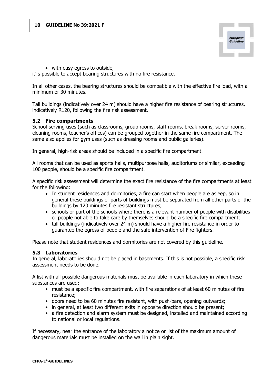

with easy egress to outside,

it' s possible to accept bearing structures with no fire resistance.

In all other cases, the bearing structures should be compatible with the effective fire load, with a minimum of 30 minutes.

Tall buildings (indicatively over 24 m) should have a higher fire resistance of bearing structures, indicatively R120, following the fire risk assessment.

#### 5.2 Fire compartments

School-serving uses (such as classrooms, group rooms, staff rooms, break rooms, server rooms, cleaning rooms, teacher's offices) can be grouped together in the same fire compartment. The same also applies for gym uses (such as dressing rooms and public galleries).

In general, high-risk areas should be included in a specific fire compartment.

All rooms that can be used as sports halls, multipurpose halls, auditoriums or similar, exceeding 100 people, should be a specific fire compartment.

A specific risk assessment will determine the exact fire resistance of the fire compartments at least for the following:

- In student residences and dormitories, a fire can start when people are asleep, so in general these buildings of parts of buildings must be separated from all other parts of the buildings by 120 minutes fire resistant structures;
- schools or part of the schools where there is a relevant number of people with disabilities or people not able to take care by themselves should be a specific fire compartment;
- tall buildings (indicatively over 24 m) should have a higher fire resistance in order to guarantee the egress of people and the safe intervention of Fire fighters.

Please note that student residences and dormitories are not covered by this guideline.

#### 5.3 Laboratories

In general, laboratories should not be placed in basements. If this is not possible, a specific risk assessment needs to be done.

A list with all possible dangerous materials must be available in each laboratory in which these substances are used:

- must be a specific fire compartment, with fire separations of at least 60 minutes of fire resistance;
- doors need to be 60 minutes fire resistant, with push-bars, opening outwards;
- in general, at least two different exits in opposite direction should be present;
- a fire detection and alarm system must be designed, installed and maintained according to national or local regulations.

If necessary, near the entrance of the laboratory a notice or list of the maximum amount of dangerous materials must be installed on the wall in plain sight.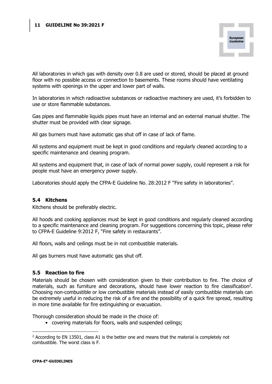

All laboratories in which gas with density over 0.8 are used or stored, should be placed at ground floor with no possible access or connection to basements. These rooms should have ventilating systems with openings in the upper and lower part of walls.

In laboratories in which radioactive substances or radioactive machinery are used, it's forbidden to use or store flammable substances.

Gas pipes and flammable liquids pipes must have an internal and an external manual shutter. The shutter must be provided with clear signage.

All gas burners must have automatic gas shut off in case of lack of flame.

All systems and equipment must be kept in good conditions and regularly cleaned according to a specific maintenance and cleaning program.

All systems and equipment that, in case of lack of normal power supply, could represent a risk for people must have an emergency power supply.

Laboratories should apply the CFPA-E Guideline No. 28:2012 F "Fire safety in laboratories".

#### 5.4 Kitchens

Kitchens should be preferably electric.

All hoods and cooking appliances must be kept in good conditions and regularly cleaned according to a specific maintenance and cleaning program. For suggestions concerning this topic, please refer to CFPA-E Guideline 9:2012 F, "Fire safety in restaurants".

All floors, walls and ceilings must be in not combustible materials.

All gas burners must have automatic gas shut off.

#### 5.5 Reaction to fire

Materials should be chosen with consideration given to their contribution to fire. The choice of materials, such as furniture and decorations, should have lower reaction to fire classification<sup>2</sup>. Choosing non-combustible or low combustible materials instead of easily combustible materials can be extremely useful in reducing the risk of a fire and the possibility of a quick fire spread, resulting in more time available for fire extinguishing or evacuation.

Thorough consideration should be made in the choice of:

• covering materials for floors, walls and suspended ceilings;

 $2$  According to EN 13501, class A1 is the better one and means that the material is completely not combustible. The worst class is F.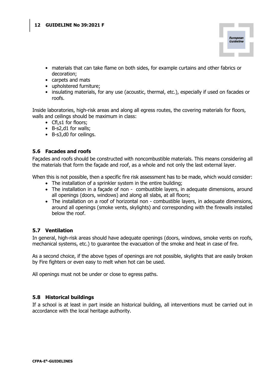

- materials that can take flame on both sides, for example curtains and other fabrics or decoration;
- carpets and mats
- upholstered furniture;
- insulating materials, for any use (acoustic, thermal, etc.), especially if used on facades or roofs.

Inside laboratories, high-risk areas and along all egress routes, the covering materials for floors, walls and ceilings should be maximum in class:

- Cfl,s1 for floors;
- B-s2,d1 for walls;
- B-s3,d0 for ceilings.

#### 5.6 Facades and roofs

Façades and roofs should be constructed with noncombustible materials. This means considering all the materials that form the façade and roof, as a whole and not only the last external layer.

When this is not possible, then a specific fire risk assessment has to be made, which would consider:

- The installation of a sprinkler system in the entire building;
- The installation in a façade of non combustible layers, in adequate dimensions, around all openings (doors, windows) and along all slabs, at all floors;
- The installation on a roof of horizontal non combustible layers, in adequate dimensions, around all openings (smoke vents, skylights) and corresponding with the firewalls installed below the roof.

#### 5.7 Ventilation

In general, high-risk areas should have adequate openings (doors, windows, smoke vents on roofs, mechanical systems, etc.) to guarantee the evacuation of the smoke and heat in case of fire.

As a second choice, if the above types of openings are not possible, skylights that are easily broken by Fire fighters or even easy to melt when hot can be used.

All openings must not be under or close to egress paths.

#### 5.8 Historical buildings

If a school is at least in part inside an historical building, all interventions must be carried out in accordance with the local heritage authority.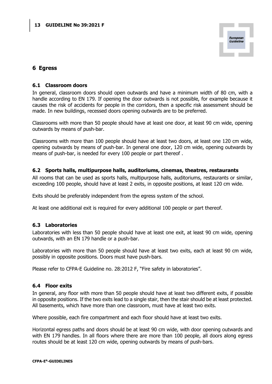

## 6 Egress

#### 6.1 Classroom doors

In general, classroom doors should open outwards and have a minimum width of 80 cm, with a handle according to EN 179. If opening the door outwards is not possible, for example because it causes the risk of accidents for people in the corridors, then a specific risk assessment should be made. In new buildings, recessed doors opening outwards are to be preferred.

Classrooms with more than 50 people should have at least one door, at least 90 cm wide, opening outwards by means of push-bar.

Classrooms with more than 100 people should have at least two doors, at least one 120 cm wide, opening outwards by means of push-bar. In general one door, 120 cm wide, opening outwards by means of push-bar, is needed for every 100 people or part thereof .

#### 6.2 Sports halls, multipurpose halls, auditoriums, cinemas, theatres, restaurants

All rooms that can be used as sports halls, multipurpose halls, auditoriums, restaurants or similar, exceeding 100 people, should have at least 2 exits, in opposite positions, at least 120 cm wide.

Exits should be preferably independent from the egress system of the school.

At least one additional exit is required for every additional 100 people or part thereof.

#### 6.3 Laboratories

Laboratories with less than 50 people should have at least one exit, at least 90 cm wide, opening outwards, with an EN 179 handle or a push-bar.

Laboratories with more than 50 people should have at least two exits, each at least 90 cm wide, possibly in opposite positions. Doors must have push-bars.

Please refer to CFPA-E Guideline no. 28:2012 F, "Fire safety in laboratories".

#### 6.4 Floor exits

In general, any floor with more than 50 people should have at least two different exits, if possible in opposite positions. If the two exits lead to a single stair, then the stair should be at least protected. All basements, which have more than one classroom, must have at least two exits.

Where possible, each fire compartment and each floor should have at least two exits.

Horizontal egress paths and doors should be at least 90 cm wide, with door opening outwards and with EN 179 handles. In all floors where there are more than 100 people, all doors along egress routes should be at least 120 cm wide, opening outwards by means of push-bars.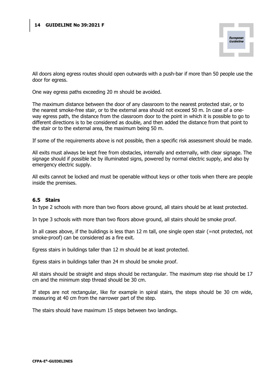

All doors along egress routes should open outwards with a push-bar if more than 50 people use the door for egress.

One way egress paths exceeding 20 m should be avoided.

The maximum distance between the door of any classroom to the nearest protected stair, or to the nearest smoke-free stair, or to the external area should not exceed 50 m. In case of a oneway egress path, the distance from the classroom door to the point in which it is possible to go to different directions is to be considered as double, and then added the distance from that point to the stair or to the external area, the maximum being 50 m.

If some of the requirements above is not possible, then a specific risk assessment should be made.

All exits must always be kept free from obstacles, internally and externally, with clear signage. The signage should if possible be by illuminated signs, powered by normal electric supply, and also by emergency electric supply.

All exits cannot be locked and must be openable without keys or other tools when there are people inside the premises.

#### 6.5 Stairs

In type 2 schools with more than two floors above ground, all stairs should be at least protected.

In type 3 schools with more than two floors above ground, all stairs should be smoke proof.

In all cases above, if the buildings is less than 12 m tall, one single open stair (=not protected, not smoke-proof) can be considered as a fire exit.

Egress stairs in buildings taller than 12 m should be at least protected.

Egress stairs in buildings taller than 24 m should be smoke proof.

All stairs should be straight and steps should be rectangular. The maximum step rise should be 17 cm and the minimum step thread should be 30 cm.

If steps are not rectangular, like for example in spiral stairs, the steps should be 30 cm wide, measuring at 40 cm from the narrower part of the step.

The stairs should have maximum 15 steps between two landings.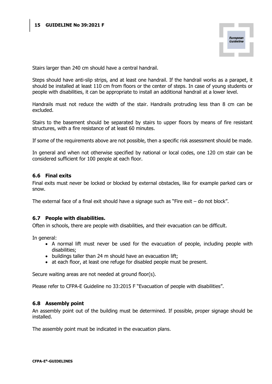

Stairs larger than 240 cm should have a central handrail.

Steps should have anti-slip strips, and at least one handrail. If the handrail works as a parapet, it should be installed at least 110 cm from floors or the center of steps. In case of young students or people with disabilities, it can be appropriate to install an additional handrail at a lower level.

Handrails must not reduce the width of the stair. Handrails protruding less than 8 cm can be excluded.

Stairs to the basement should be separated by stairs to upper floors by means of fire resistant structures, with a fire resistance of at least 60 minutes.

If some of the requirements above are not possible, then a specific risk assessment should be made.

In general and when not otherwise specified by national or local codes, one 120 cm stair can be considered sufficient for 100 people at each floor.

#### 6.6 Final exits

Final exits must never be locked or blocked by external obstacles, like for example parked cars or snow.

The external face of a final exit should have a signage such as "Fire exit – do not block".

#### 6.7 People with disabilities.

Often in schools, there are people with disabilities, and their evacuation can be difficult.

In general:

- A normal lift must never be used for the evacuation of people, including people with disabilities;
- buildings taller than 24 m should have an evacuation lift;
- at each floor, at least one refuge for disabled people must be present.

Secure waiting areas are not needed at ground floor(s).

Please refer to CFPA-E Guideline no 33:2015 F "Evacuation of people with disabilities".

#### 6.8 Assembly point

An assembly point out of the building must be determined. If possible, proper signage should be installed.

The assembly point must be indicated in the evacuation plans.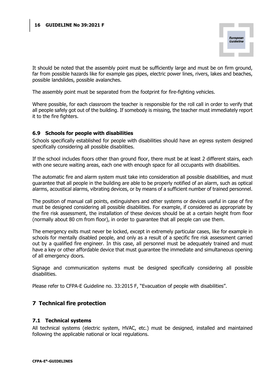

It should be noted that the assembly point must be sufficiently large and must be on firm ground, far from possible hazards like for example gas pipes, electric power lines, rivers, lakes and beaches, possible landslides, possible avalanches.

The assembly point must be separated from the footprint for fire-fighting vehicles.

Where possible, for each classroom the teacher is responsible for the roll call in order to verify that all people safely got out of the building. If somebody is missing, the teacher must immediately report it to the fire fighters.

#### 6.9 Schools for people with disabilities

Schools specifically established for people with disabilities should have an egress system designed specifically considering all possible disabilities.

If the school includes floors other than ground floor, there must be at least 2 different stairs, each with one secure waiting areas, each one with enough space for all occupants with disabilities.

The automatic fire and alarm system must take into consideration all possible disabilities, and must guarantee that all people in the building are able to be properly notified of an alarm, such as optical alarms, acoustical alarms, vibrating devices, or by means of a sufficient number of trained personnel.

The position of manual call points, extinguishers and other systems or devices useful in case of fire must be designed considering all possible disabilities. For example, if considered as appropriate by the fire risk assessment, the installation of these devices should be at a certain height from floor (normally about 80 cm from floor), in order to guarantee that all people can use them.

The emergency exits must never be locked, except in extremely particular cases, like for example in schools for mentally disabled people, and only as a result of a specific fire risk assessment carried out by a qualified fire engineer. In this case, all personnel must be adequately trained and must have a key or other affordable device that must guarantee the immediate and simultaneous opening of all emergency doors.

Signage and communication systems must be designed specifically considering all possible disabilities.

Please refer to CFPA-E Guideline no. 33:2015 F, "Evacuation of people with disabilities".

# 7 Technical fire protection

#### 7.1 Technical systems

All technical systems (electric system, HVAC, etc.) must be designed, installed and maintained following the applicable national or local regulations.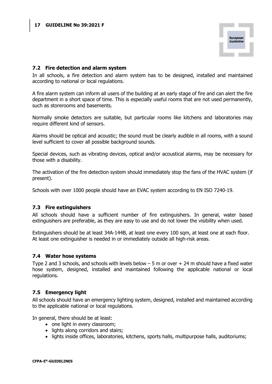

#### 7.2 Fire detection and alarm system

In all schools, a fire detection and alarm system has to be designed, installed and maintained according to national or local regulations.

A fire alarm system can inform all users of the building at an early stage of fire and can alert the fire department in a short space of time. This is especially useful rooms that are not used permanently, such as storerooms and basements.

Normally smoke detectors are suitable, but particular rooms like kitchens and laboratories may require different kind of sensors.

Alarms should be optical and acoustic; the sound must be clearly audible in all rooms, with a sound level sufficient to cover all possible background sounds.

Special devices, such as vibrating devices, optical and/or acoustical alarms, may be necessary for those with a disability.

The activation of the fire detection system should immediately stop the fans of the HVAC system (if present).

Schools with over 1000 people should have an EVAC system according to EN ISO 7240-19.

#### 7.3 Fire extinguishers

All schools should have a sufficient number of fire extinguishers. In general, water based extinguishers are preferable, as they are easy to use and do not lower the visibility when used.

Extinguishers should be at least 34A-144B, at least one every 100 sqm, at least one at each floor. At least one extinguisher is needed in or immediately outside all high-risk areas.

#### 7.4 Water hose systems

Type 2 and 3 schools, and schools with levels below – 5 m or over + 24 m should have a fixed water hose system, designed, installed and maintained following the applicable national or local regulations.

#### 7.5 Emergency light

All schools should have an emergency lighting system, designed, installed and maintained according to the applicable national or local regulations.

In general, there should be at least:

- one light in every classroom;
- lights along corridors and stairs;
- lights inside offices, laboratories, kitchens, sports halls, multipurpose halls, auditoriums;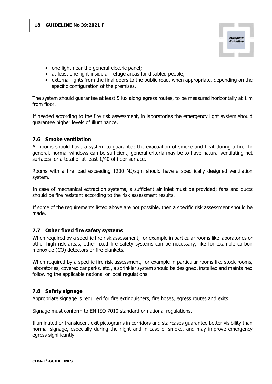

- one light near the general electric panel;
- at least one light inside all refuge areas for disabled people;
- external lights from the final doors to the public road, when appropriate, depending on the specific configuration of the premises.

The system should guarantee at least 5 lux along egress routes, to be measured horizontally at 1 m from floor.

If needed according to the fire risk assessment, in laboratories the emergency light system should guarantee higher levels of illuminance.

#### 7.6 Smoke ventilation

All rooms should have a system to guarantee the evacuation of smoke and heat during a fire. In general, normal windows can be sufficient; general criteria may be to have natural ventilating net surfaces for a total of at least 1/40 of floor surface.

Rooms with a fire load exceeding 1200 MJ/sqm should have a specifically designed ventilation system.

In case of mechanical extraction systems, a sufficient air inlet must be provided; fans and ducts should be fire resistant according to the risk assessment results.

If some of the requirements listed above are not possible, then a specific risk assessment should be made.

#### 7.7 Other fixed fire safety systems

When required by a specific fire risk assessment, for example in particular rooms like laboratories or other high risk areas, other fixed fire safety systems can be necessary, like for example carbon monoxide (CO) detectors or fire blankets.

When required by a specific fire risk assessment, for example in particular rooms like stock rooms, laboratories, covered car parks, etc., a sprinkler system should be designed, installed and maintained following the applicable national or local regulations.

#### 7.8 Safety signage

Appropriate signage is required for fire extinguishers, fire hoses, egress routes and exits.

Signage must conform to EN ISO 7010 standard or national regulations.

Illuminated or translucent exit pictograms in corridors and staircases guarantee better visibility than normal signage, especially during the night and in case of smoke, and may improve emergency egress significantly.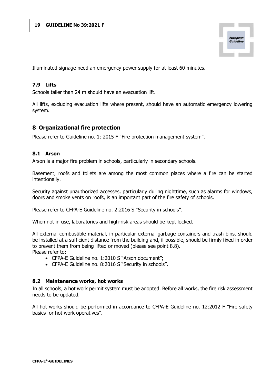

Illuminated signage need an emergency power supply for at least 60 minutes.

#### 7.9 Lifts

Schools taller than 24 m should have an evacuation lift.

All lifts, excluding evacuation lifts where present, should have an automatic emergency lowering system.

#### 8 Organizational fire protection

Please refer to Guideline no. 1: 2015 F "Fire protection management system".

#### 8.1 Arson

Arson is a major fire problem in schools, particularly in secondary schools.

Basement, roofs and toilets are among the most common places where a fire can be started intentionally.

Security against unauthorized accesses, particularly during nighttime, such as alarms for windows, doors and smoke vents on roofs, is an important part of the fire safety of schools.

Please refer to CFPA-E Guideline no. 2:2016 S "Security in schools".

When not in use, laboratories and high-risk areas should be kept locked.

All external combustible material, in particular external garbage containers and trash bins, should be installed at a sufficient distance from the building and, if possible, should be firmly fixed in order to prevent them from being lifted or moved (please see point 8.8). Please refer to:

- CFPA-E Guideline no. 1:2010 S "Arson document";
- CFPA-E Guideline no. 8:2016 S "Security in schools".

#### 8.2 Maintenance works, hot works

In all schools, a hot work permit system must be adopted. Before all works, the fire risk assessment needs to be updated.

All hot works should be performed in accordance to CFPA-E Guideline no. 12:2012 F "Fire safety basics for hot work operatives".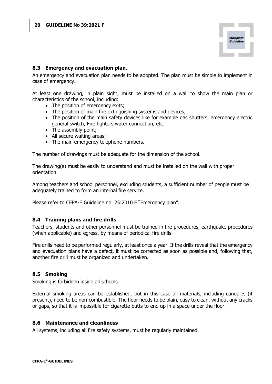

#### 8.3 Emergency and evacuation plan.

An emergency and evacuation plan needs to be adopted. The plan must be simple to implement in case of emergency.

At least one drawing, in plain sight, must be installed on a wall to show the main plan or characteristics of the school, including:

- The position of emergency exits;
- The position of main fire extinguishing systems and devices;
- The position of the main safety devices like for example gas shutters, emergency electric general switch, Fire fighters water connection, etc.
- The assembly point;
- All secure waiting areas;
- The main emergency telephone numbers.

The number of drawings must be adequate for the dimension of the school.

The drawing(s) must be easily to understand and must be installed on the wall with proper orientation.

Among teachers and school personnel, excluding students, a sufficient number of people must be adequately trained to form an internal fire service.

Please refer to CFPA-E Guideline no. 25:2010 F "Emergency plan".

#### 8.4 Training plans and fire drills

Teachers, students and other personnel must be trained in fire procedures, earthquake procedures (when applicable) and egress, by means of periodical fire drills.

Fire drills need to be performed regularly, at least once a year. If the drills reveal that the emergency and evacuation plans have a defect, it must be corrected as soon as possible and, following that, another fire drill must be organized and undertaken.

#### 8.5 Smoking

Smoking is forbidden inside all schools.

External smoking areas can be established, but in this case all materials, including canopies (if present), need to be non-combustible. The floor needs to be plain, easy to clean, without any cracks or gaps, so that it is impossible for cigarette butts to end up in a space under the floor.

#### 8.6 Maintenance and cleanliness

All systems, including all fire safety systems, must be regularly maintained.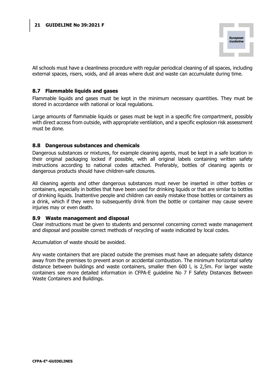

All schools must have a cleanliness procedure with regular periodical cleaning of all spaces, including external spaces, risers, voids, and all areas where dust and waste can accumulate during time.

#### 8.7 Flammable liquids and gases

Flammable liquids and gases must be kept in the minimum necessary quantities. They must be stored in accordance with national or local regulations.

Large amounts of flammable liquids or gases must be kept in a specific fire compartment, possibly with direct access from outside, with appropriate ventilation, and a specific explosion risk assessment must be done.

#### 8.8 Dangerous substances and chemicals

Dangerous substances or mixtures, for example cleaning agents, must be kept in a safe location in their original packaging locked if possible, with all original labels containing written safety instructions according to national codes attached. Preferably, bottles of cleaning agents or dangerous products should have children-safe closures.

All cleaning agents and other dangerous substances must never be inserted in other bottles or containers, especially in bottles that have been used for drinking liquids or that are similar to bottles of drinking liquids. Inattentive people and children can easily mistake those bottles or containers as a drink, which if they were to subsequently drink from the bottle or container may cause severe injuries may or even death.

#### 8.9 Waste management and disposal

Clear instructions must be given to students and personnel concerning correct waste management and disposal and possible correct methods of recycling of waste indicated by local codes.

Accumulation of waste should be avoided.

Any waste containers that are placed outside the premises must have an adequate safety distance away from the premises to prevent arson or accidental combustion. The minimum horizontal safety distance between buildings and waste containers, smaller then 600 l, is 2,5m. For larger waste containers see more detailed information in CFPA-E guideline No 7 F Safety Distances Between Waste Containers and Buildings.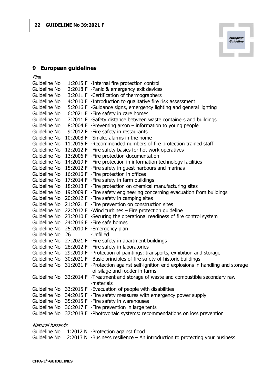

# 9 European guidelines

Fire

| Guideline No    |    | 1:2015 F -Internal fire protection control                                           |
|-----------------|----|--------------------------------------------------------------------------------------|
| Guideline No    |    | 2:2018 F -Panic & emergency exit devices                                             |
| Guideline No    |    | 3:2011 F -Certification of thermographers                                            |
| Guideline No    |    | 4:2010 F -Introduction to qualitative fire risk assessment                           |
| Guideline No    |    | 5:2016 F -Guidance signs, emergency lighting and general lighting                    |
| Guideline No    |    | 6:2021 F - Fire safety in care homes                                                 |
| Guideline No    |    | 7:2011 F -Safety distance between waste containers and buildings                     |
| Guideline No    |    | 8:2004 F -Preventing arson – information to young people                             |
| Guideline No    |    | 9:2012 F - Fire safety in restaurants                                                |
| Guideline No    |    | 10:2008 F -Smoke alarms in the home                                                  |
| Guideline No    |    | 11:2015 F -Recommended numbers of fire protection trained staff                      |
| Guideline No    |    | 12:2012 F - Fire safety basics for hot work operatives                               |
| Guideline No    |    | 13:2006 F - Fire protection documentation                                            |
| Guideline No    |    | 14:2019 F - Fire protection in information technology facilities                     |
| Guideline No    |    | 15:2012 F - Fire safety in guest harbours and marinas                                |
| Guideline No    |    | 16:2016 F - Fire protection in offices                                               |
| Guideline No    |    | 17:2014 F - Fire safety in farm buildings                                            |
| Guideline No    |    | 18:2013 F - Fire protection on chemical manufacturing sites                          |
| Guideline No    |    | 19:2009 F - Fire safety engineering concerning evacuation from buildings             |
| Guideline No    |    | 20:2012 F - Fire safety in camping sites                                             |
| Guideline No    |    | 21:2021 F - Fire prevention on construction sites                                    |
|                 |    | Guideline No 22:2012 F -Wind turbines - Fire protection guideline                    |
| Guideline No    |    | 23:2010 F -Securing the operational readiness of fire control system                 |
| Guideline No    |    | 24:2016 F - Fire safe homes                                                          |
| Guideline No    |    | 25:2010 F - Emergency plan                                                           |
| Guideline No    | 26 | -Unfilled                                                                            |
| Guideline No    |    | 27:2021 F - Fire safety in apartment buildings                                       |
| Guideline No    |    | 28:2012 F - Fire safety in laboratories                                              |
| Guideline No    |    | 29:2019 F -Protection of paintings: transports, exhibition and storage               |
| Guideline No    |    | 30:2021 F -Basic principles of fire safety of historic buildings                     |
| Guideline No    |    | 31:2021 F -Protection against self-ignition end explosions in handling and storage   |
|                 |    | -of silage and fodder in farms                                                       |
|                 |    | Guideline No 32:2014 F -Treatment and storage of waste and combustible secondary raw |
|                 |    | -materials                                                                           |
| Guideline No    |    | 33:2015 F - Evacuation of people with disabilities                                   |
| Guideline No    |    | 34:2015 F - Fire safety measures with emergency power supply                         |
| Guideline No    |    | 35:2015 F - Fire safety in warehouses                                                |
| Guideline No    |    | 36:2017 F - Fire prevention in large tents                                           |
| Guideline No    |    | 37:2018 F -Photovoltaic systems: recommendations on loss prevention                  |
| Natural hazards |    |                                                                                      |

|  | Guideline No 1:2012 N -Protection against flood                                            |
|--|--------------------------------------------------------------------------------------------|
|  | Guideline No $2:2013$ N -Business resilience – An introduction to protecting your business |